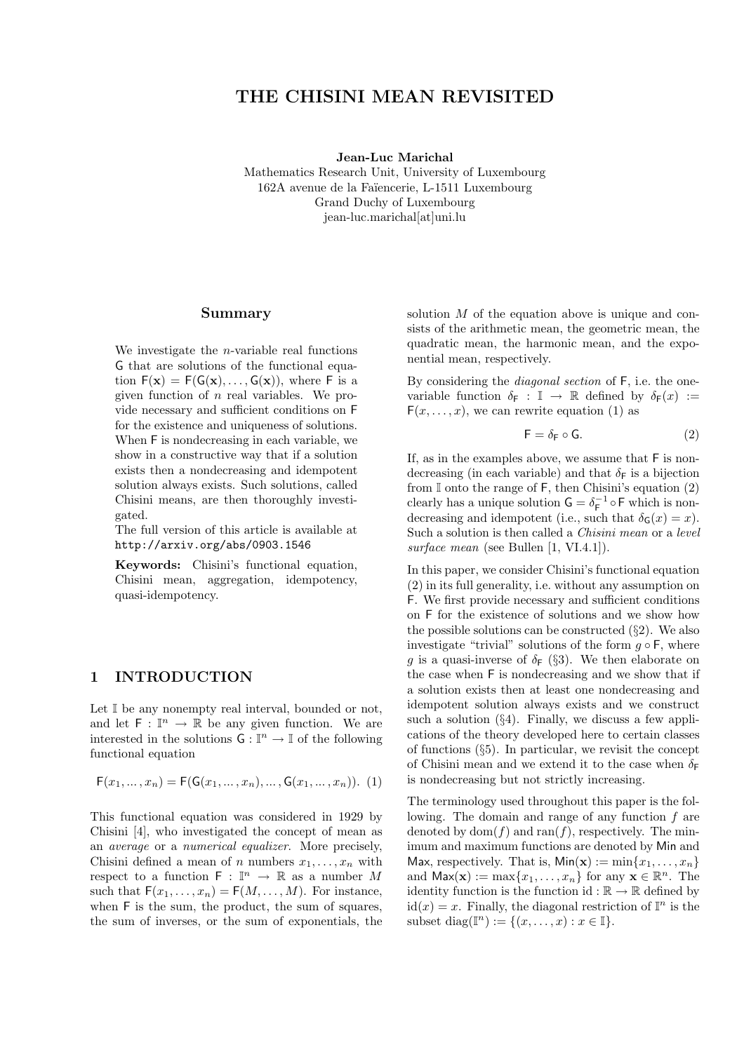# THE CHISINI MEAN REVISITED

Jean-Luc Marichal

Mathematics Research Unit, University of Luxembourg 162A avenue de la Faïencerie, L-1511 Luxembourg Grand Duchy of Luxembourg jean-luc.marichal[at]uni.lu

#### Summary

We investigate the  $n$ -variable real functions G that are solutions of the functional equation  $F(\mathbf{x}) = F(G(\mathbf{x}), \dots, G(\mathbf{x}))$ , where F is a given function of  $n$  real variables. We provide necessary and sufficient conditions on F for the existence and uniqueness of solutions. When F is nondecreasing in each variable, we show in a constructive way that if a solution exists then a nondecreasing and idempotent solution always exists. Such solutions, called Chisini means, are then thoroughly investigated.

The full version of this article is available at http://arxiv.org/abs/0903.1546

Keywords: Chisini's functional equation, Chisini mean, aggregation, idempotency, quasi-idempotency.

### 1 INTRODUCTION

Let I be any nonempty real interval, bounded or not, and let  $\mathsf{F} : \mathbb{I}^n \to \mathbb{R}$  be any given function. We are interested in the solutions  $G: \mathbb{I}^n \to \mathbb{I}$  of the following functional equation

$$
F(x_1, ..., x_n) = F(G(x_1, ..., x_n), ..., G(x_1, ..., x_n)).
$$
 (1)

This functional equation was considered in 1929 by Chisini [4], who investigated the concept of mean as an average or a numerical equalizer. More precisely, Chisini defined a mean of n numbers  $x_1, \ldots, x_n$  with respect to a function  $F : \mathbb{I}^n \to \mathbb{R}$  as a number M such that  $F(x_1, \ldots, x_n) = F(M, \ldots, M)$ . For instance, when F is the sum, the product, the sum of squares, the sum of inverses, or the sum of exponentials, the solution M of the equation above is unique and consists of the arithmetic mean, the geometric mean, the quadratic mean, the harmonic mean, and the exponential mean, respectively.

By considering the diagonal section of F, i.e. the onevariable function  $\delta_F : \mathbb{I} \to \mathbb{R}$  defined by  $\delta_F(x) :=$  $F(x, \ldots, x)$ , we can rewrite equation (1) as

$$
\mathsf{F} = \delta_{\mathsf{F}} \circ \mathsf{G}.\tag{2}
$$

If, as in the examples above, we assume that F is nondecreasing (in each variable) and that  $\delta_F$  is a bijection from  $\mathbb I$  onto the range of  $\mathsf F$ , then Chisini's equation (2) clearly has a unique solution  $G = \delta_F^{-1} \circ F$  which is nondecreasing and idempotent (i.e., such that  $\delta_{\mathsf{G}}(x) = x$ ). Such a solution is then called a Chisini mean or a level surface mean (see Bullen [1, VI.4.1]).

In this paper, we consider Chisini's functional equation (2) in its full generality, i.e. without any assumption on F. We first provide necessary and sufficient conditions on F for the existence of solutions and we show how the possible solutions can be constructed  $(\S_2)$ . We also investigate "trivial" solutions of the form  $g \circ F$ , where g is a quasi-inverse of  $\delta_F$  (§3). We then elaborate on the case when F is nondecreasing and we show that if a solution exists then at least one nondecreasing and idempotent solution always exists and we construct such a solution  $(\S4)$ . Finally, we discuss a few applications of the theory developed here to certain classes of functions (§5). In particular, we revisit the concept of Chisini mean and we extend it to the case when  $\delta$ is nondecreasing but not strictly increasing.

The terminology used throughout this paper is the following. The domain and range of any function f are denoted by dom $(f)$  and ran $(f)$ , respectively. The minimum and maximum functions are denoted by Min and Max, respectively. That is,  $\text{Min}(\mathbf{x}) := \min\{x_1, \ldots, x_n\}$ and  $\mathsf{Max}(\mathbf{x}) := \max\{x_1, \ldots, x_n\}$  for any  $\mathbf{x} \in \mathbb{R}^n$ . The identity function is the function id :  $\mathbb{R} \to \mathbb{R}$  defined by  $id(x) = x$ . Finally, the diagonal restriction of  $\mathbb{I}^n$  is the subset diag( $\mathbb{I}^n$ ) := { $(x, \ldots, x) : x \in \mathbb{I}$  }.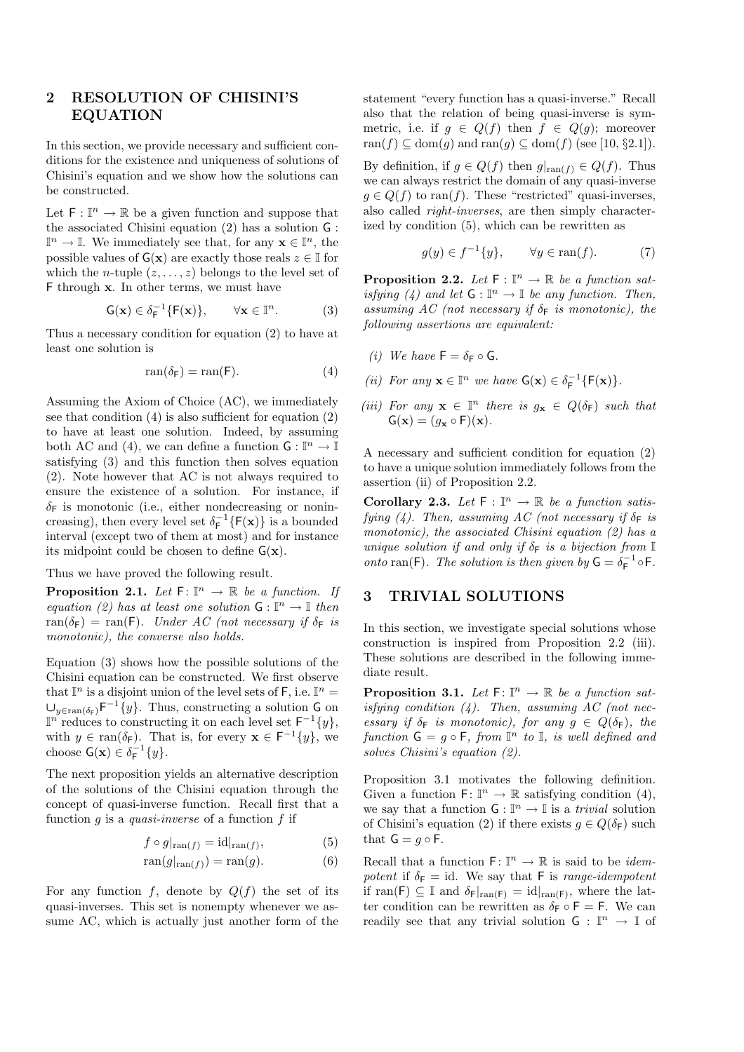## 2 RESOLUTION OF CHISINI'S EQUATION

In this section, we provide necessary and sufficient conditions for the existence and uniqueness of solutions of Chisini's equation and we show how the solutions can be constructed.

Let  $\mathsf{F} : \mathbb{I}^n \to \mathbb{R}$  be a given function and suppose that the associated Chisini equation  $(2)$  has a solution  $\mathsf G$ :  $\mathbb{I}^n \to \mathbb{I}$ . We immediately see that, for any  $\mathbf{x} \in \mathbb{I}^n$ , the possible values of  $G(x)$  are exactly those reals  $z \in \mathbb{I}$  for which the *n*-tuple  $(z, \ldots, z)$  belongs to the level set of F through x. In other terms, we must have

$$
\mathsf{G}(\mathbf{x}) \in \delta_{\mathsf{F}}^{-1}\{\mathsf{F}(\mathbf{x})\}, \qquad \forall \mathbf{x} \in \mathbb{I}^n. \tag{3}
$$

Thus a necessary condition for equation (2) to have at least one solution is

$$
ran(\delta_F) = ran(F). \tag{4}
$$

Assuming the Axiom of Choice (AC), we immediately see that condition (4) is also sufficient for equation (2) to have at least one solution. Indeed, by assuming both AC and (4), we can define a function  $\mathsf{G} : \mathbb{I}^n \to \mathbb{I}$ satisfying (3) and this function then solves equation (2). Note however that AC is not always required to ensure the existence of a solution. For instance, if  $\delta_F$  is monotonic (i.e., either nondecreasing or nonincreasing), then every level set  $\delta_{\mathsf{F}}^{-1}{F(\mathbf{x})}$  is a bounded interval (except two of them at most) and for instance its midpoint could be chosen to define  $G(\mathbf{x})$ .

Thus we have proved the following result.

**Proposition 2.1.** Let  $F: \mathbb{I}^n \to \mathbb{R}$  be a function. If equation (2) has at least one solution  $G: \mathbb{I}^n \to \mathbb{I}$  then ran( $\delta_F$ ) = ran(F). Under AC (not necessary if  $\delta_F$  is monotonic), the converse also holds.

Equation (3) shows how the possible solutions of the Chisini equation can be constructed. We first observe that  $\mathbb{I}^n$  is a disjoint union of the level sets of F, i.e.  $\mathbb{I}^n =$  $\cup_{y\in \text{ran}(\delta_F)} F^{-1}{y}.$  Thus, constructing a solution G on  $\mathbb{I}^n$  reduces to constructing it on each level set  $\mathsf{F}^{-1}\{y\},\$ with  $y \in \text{ran}(\delta_F)$ . That is, for every  $\mathbf{x} \in \mathsf{F}^{-1}{y}$ , we choose  $G(\mathbf{x}) \in \delta_F^{-1}{y}.$ 

The next proposition yields an alternative description of the solutions of the Chisini equation through the concept of quasi-inverse function. Recall first that a function g is a quasi-inverse of a function f if

$$
f \circ g|_{\operatorname{ran}(f)} = \operatorname{id}|_{\operatorname{ran}(f)},\tag{5}
$$

$$
\operatorname{ran}(g|_{\operatorname{ran}(f)}) = \operatorname{ran}(g). \tag{6}
$$

For any function f, denote by  $Q(f)$  the set of its quasi-inverses. This set is nonempty whenever we assume AC, which is actually just another form of the statement "every function has a quasi-inverse." Recall also that the relation of being quasi-inverse is symmetric, i.e. if  $g \in Q(f)$  then  $f \in Q(g)$ ; moreover ran(f)  $\subseteq$  dom(g) and ran(g)  $\subseteq$  dom(f) (see [10, §2.1]).

By definition, if  $g \in Q(f)$  then  $g|_{\text{ran}(f)} \in Q(f)$ . Thus we can always restrict the domain of any quasi-inverse  $g \in Q(f)$  to ran(f). These "restricted" quasi-inverses, also called right-inverses, are then simply characterized by condition (5), which can be rewritten as

$$
g(y) \in f^{-1}\{y\}, \qquad \forall y \in \text{ran}(f). \tag{7}
$$

**Proposition 2.2.** Let  $F : \mathbb{I}^n \to \mathbb{R}$  be a function satisfying (4) and let  $G: \mathbb{I}^n \to \mathbb{I}$  be any function. Then, assuming AC (not necessary if  $\delta_F$  is monotonic), the following assertions are equivalent:

- (i) We have  $F = \delta_F \circ G$ .
- (*ii*) For any  $\mathbf{x} \in \mathbb{I}^n$  we have  $G(\mathbf{x}) \in \delta_{\mathsf{F}}^{-1} \{ \mathsf{F}(\mathbf{x}) \}.$
- (iii) For any  $\mathbf{x} \in \mathbb{I}^n$  there is  $g_{\mathbf{x}} \in Q(\delta_F)$  such that  $G(\mathbf{x}) = (q_{\mathbf{x}} \circ F)(\mathbf{x}).$

A necessary and sufficient condition for equation (2) to have a unique solution immediately follows from the assertion (ii) of Proposition 2.2.

Corollary 2.3. Let  $F : \mathbb{I}^n \to \mathbb{R}$  be a function satisfying (4). Then, assuming AC (not necessary if  $\delta_F$  is monotonic), the associated Chisini equation  $(2)$  has a unique solution if and only if  $\delta_F$  is a bijection from  $\mathbb I$ onto ran(F). The solution is then given by  $G = \delta_F^{-1} \circ F$ .

### 3 TRIVIAL SOLUTIONS

In this section, we investigate special solutions whose construction is inspired from Proposition 2.2 (iii). These solutions are described in the following immediate result.

**Proposition 3.1.** Let  $F: \mathbb{I}^n \to \mathbb{R}$  be a function satisfying condition  $(4)$ . Then, assuming AC (not necessary if  $\delta_F$  is monotonic), for any  $g \in Q(\delta_F)$ , the function  $G = g \circ F$ , from  $\mathbb{I}^n$  to  $\mathbb{I}$ , is well defined and solves Chisini's equation (2).

Proposition 3.1 motivates the following definition. Given a function  $\mathsf{F} \colon \mathbb{I}^n \to \mathbb{R}$  satisfying condition (4), we say that a function  $\mathsf{G} : \mathbb{I}^n \to \mathbb{I}$  is a *trivial* solution of Chisini's equation (2) if there exists  $g \in Q(\delta_F)$  such that  $G = g \circ F$ .

Recall that a function  $F: \mathbb{I}^n \to \mathbb{R}$  is said to be *idem*potent if  $\delta_F = id$ . We say that F is range-idempotent if ran(F)  $\subseteq$  I and  $\delta_F|_{\text{ran}(F)} = \text{id}|_{\text{ran}(F)}$ , where the latter condition can be rewritten as  $\delta_F \circ F = F$ . We can readily see that any trivial solution  $G: \mathbb{I}^n \to \mathbb{I}$  of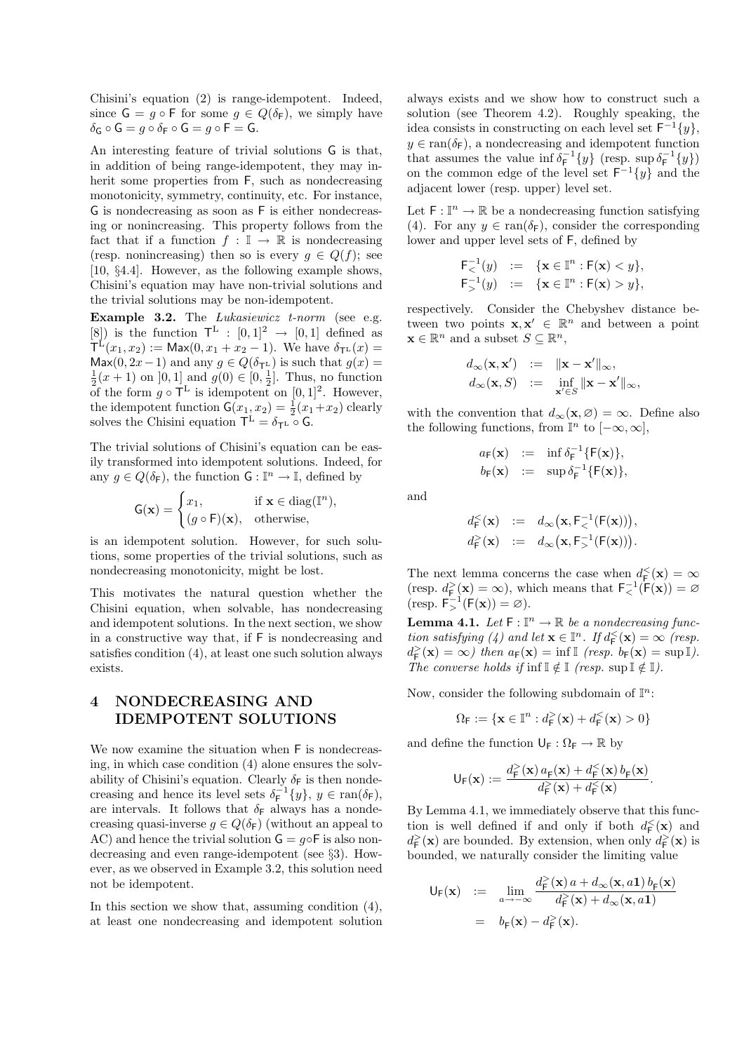Chisini's equation (2) is range-idempotent. Indeed, since  $G = g \circ F$  for some  $g \in Q(\delta_F)$ , we simply have  $\delta_{\mathsf{G}}\circ\mathsf{G}=g\circ\delta_{\mathsf{F}}\circ\mathsf{G}=g\circ\mathsf{F}=\mathsf{G}.$ 

An interesting feature of trivial solutions G is that, in addition of being range-idempotent, they may inherit some properties from F, such as nondecreasing monotonicity, symmetry, continuity, etc. For instance, G is nondecreasing as soon as F is either nondecreasing or nonincreasing. This property follows from the fact that if a function  $f : \mathbb{I} \to \mathbb{R}$  is nondecreasing (resp. nonincreasing) then so is every  $q \in Q(f)$ ; see [10, §4.4]. However, as the following example shows, Chisini's equation may have non-trivial solutions and the trivial solutions may be non-idempotent.

Example 3.2. The *Lukasiewicz t-norm* (see e.g. [8]) is the function  $\mathsf{T}^{\mathsf{L}} : [0,1]^2 \to [0,1]$  defined as  $\mathsf{T}^{\mathbb{L}}(x_1, x_2) := \mathsf{Max}(0, x_1 + x_2 - 1).$  We have  $\delta_{\mathsf{T}^{\mathbb{L}}}(x) =$ Max(0, 2x−1) and any  $q \in Q(\delta_{\mathsf{T}^{\mathsf{L}}})$  is such that  $q(x)$  =  $\frac{1}{2}(x+1)$  on  $[0,1]$  and  $g(0) \in [0, \frac{1}{2}]$ . Thus, no function of the form  $g \circ \mathsf{T}^{\mathsf{L}}$  is idempotent on [0, 1]<sup>2</sup>. However, the idempotent function  $G(x_1, x_2) = \frac{1}{2}(x_1+x_2)$  clearly solves the Chisini equation  $T^L = \delta_{T^L} \circ G$ .

The trivial solutions of Chisini's equation can be easily transformed into idempotent solutions. Indeed, for any  $g \in Q(\delta_F)$ , the function  $G : \mathbb{I}^n \to \mathbb{I}$ , defined by

$$
\mathsf{G}(\mathbf{x}) = \begin{cases} x_1, & \text{if } \mathbf{x} \in \text{diag}(\mathbb{I}^n), \\ (g \circ \mathsf{F})(\mathbf{x}), & \text{otherwise,} \end{cases}
$$

is an idempotent solution. However, for such solutions, some properties of the trivial solutions, such as nondecreasing monotonicity, might be lost.

This motivates the natural question whether the Chisini equation, when solvable, has nondecreasing and idempotent solutions. In the next section, we show in a constructive way that, if F is nondecreasing and satisfies condition (4), at least one such solution always exists.

# 4 NONDECREASING AND IDEMPOTENT SOLUTIONS

We now examine the situation when F is nondecreasing, in which case condition (4) alone ensures the solvability of Chisini's equation. Clearly  $\delta_F$  is then nondecreasing and hence its level sets  $\delta_F^{-1}{y}$ ,  $y \in \text{ran}(\delta_F)$ , are intervals. It follows that  $\delta_F$  always has a nondecreasing quasi-inverse  $g \in Q(\delta_F)$  (without an appeal to AC) and hence the trivial solution  $G = g \circ F$  is also nondecreasing and even range-idempotent (see §3). However, as we observed in Example 3.2, this solution need not be idempotent.

In this section we show that, assuming condition (4), at least one nondecreasing and idempotent solution always exists and we show how to construct such a solution (see Theorem 4.2). Roughly speaking, the idea consists in constructing on each level set  $\mathsf{F}^{-1}\{y\},\$  $y \in \text{ran}(\delta_F)$ , a nondecreasing and idempotent function that assumes the value inf $\delta_{\mathsf{F}}^{-1}\lbrace y \rbrace$  (resp. sup  $\delta_{\mathsf{F}}^{-1}\lbrace y \rbrace$ ) on the common edge of the level set  $F^{-1}{y}$  and the adjacent lower (resp. upper) level set.

Let  $\mathsf{F} : \mathbb{I}^n \to \mathbb{R}$  be a nondecreasing function satisfying (4). For any  $y \in \text{ran}(\delta_F)$ , consider the corresponding lower and upper level sets of F, defined by

$$
\begin{array}{rcl} \mathsf{F}_{<}^{-1}(y) & := & \{ \mathbf{x} \in \mathbb{I}^n : \mathsf{F}(\mathbf{x}) < y \}, \\ \mathsf{F}_{>}^{-1}(y) & := & \{ \mathbf{x} \in \mathbb{I}^n : \mathsf{F}(\mathbf{x}) > y \}, \end{array}
$$

respectively. Consider the Chebyshev distance between two points  $\mathbf{x}, \mathbf{x}' \in \mathbb{R}^n$  and between a point  $\mathbf{x} \in \mathbb{R}^n$  and a subset  $S \subseteq \mathbb{R}^n$ ,

$$
d_{\infty}(\mathbf{x}, \mathbf{x}') := \|\mathbf{x} - \mathbf{x}'\|_{\infty},
$$
  

$$
d_{\infty}(\mathbf{x}, S) := \inf_{\mathbf{x}' \in S} \|\mathbf{x} - \mathbf{x}'\|_{\infty},
$$

with the convention that  $d_{\infty}(\mathbf{x}, \varnothing) = \infty$ . Define also the following functions, from  $\mathbb{I}^n$  to  $[-\infty, \infty]$ ,

$$
a_F(\mathbf{x}) \ := \ \inf \delta_F^{-1} \{ F(\mathbf{x}) \},
$$
  

$$
b_F(\mathbf{x}) \ := \ \sup \delta_F^{-1} \{ F(\mathbf{x}) \},
$$

and

$$
d_{\mathsf{F}}^{\leq}(\mathbf{x}) \quad := \quad d_{\infty}\big(\mathbf{x}, \mathsf{F}_{\leq}^{-1}(\mathsf{F}(\mathbf{x}))\big),
$$
\n
$$
d_{\mathsf{F}}^{\geq}(\mathbf{x}) \quad := \quad d_{\infty}\big(\mathbf{x}, \mathsf{F}_{>}^{-1}(\mathsf{F}(\mathbf{x}))\big).
$$

The next lemma concerns the case when  $d_{\mathsf{F}}^{\leq}(\mathbf{x}) = \infty$ (resp.  $d_F^>(\mathbf{x}) = \infty$ ), which means that  $F^{-1}_<(F(\mathbf{x})) = \varnothing$  $(\text{resp. } \mathsf{F}_{>}^{-1}(\mathsf{F}(\mathbf{x})) = \varnothing).$ 

**Lemma 4.1.** Let  $F: \mathbb{I}^n \to \mathbb{R}$  be a nondecreasing function satisfying (4) and let  $\mathbf{x} \in \mathbb{I}^n$ . If  $d_{\mathsf{F}}^{\leq}(\mathbf{x}) = \infty$  (resp.  $d_{\mathsf{F}}^>(\mathbf{x}) = \infty$ ) then  $a_{\mathsf{F}}(\mathbf{x}) = \inf \mathbb{I}$  (resp.  $b_{\mathsf{F}}(\mathbf{x}) = \sup \mathbb{I}$ ). The converse holds if inf  $\mathbb{I} \notin \mathbb{I}$  (resp. sup  $\mathbb{I} \notin \mathbb{I}$ ).

Now, consider the following subdomain of  $\mathbb{I}^n$ :

$$
\Omega_{\mathsf{F}}:=\{\mathbf{x}\in\mathbb{I}^n: d_{\mathsf{F}}^>(\mathbf{x})+d_{\mathsf{F}}^<( \mathbf{x})>0\}
$$

and define the function  $\mathsf{U}_{\mathsf{F}} : \Omega_{\mathsf{F}} \to \mathbb{R}$  by

$$
\mathsf{U_F}(\mathbf{x}) := \frac{d_\mathsf{F}^>(\mathbf{x})\, a_\mathsf{F}(\mathbf{x}) + d_\mathsf{F}^<( \mathbf{x})\, b_\mathsf{F}(\mathbf{x})}{d_\mathsf{F}^>(\mathbf{x}) + d_\mathsf{F}^<( \mathbf{x})}.
$$

By Lemma 4.1, we immediately observe that this function is well defined if and only if both  $d_{\mathsf{F}}^{\leq}(\mathbf{x})$  and  $d_{\mathsf{F}}^{\geq}(\mathbf{x})$  are bounded. By extension, when only  $d_{\mathsf{F}}^{\geq}(\mathbf{x})$  is bounded, we naturally consider the limiting value

$$
\begin{array}{rcl}\n\mathsf{U}_{\mathsf{F}}(\mathbf{x}) & := & \lim_{a \to -\infty} \frac{d_{\mathsf{F}}^{\geq}(\mathbf{x}) \, a + d_{\infty}(\mathbf{x}, a\mathbf{1}) \, b_{\mathsf{F}}(\mathbf{x})}{d_{\mathsf{F}}^{\geq}(\mathbf{x}) + d_{\infty}(\mathbf{x}, a\mathbf{1})} \\
& = & b_{\mathsf{F}}(\mathbf{x}) - d_{\mathsf{F}}^{\geq}(\mathbf{x}).\n\end{array}
$$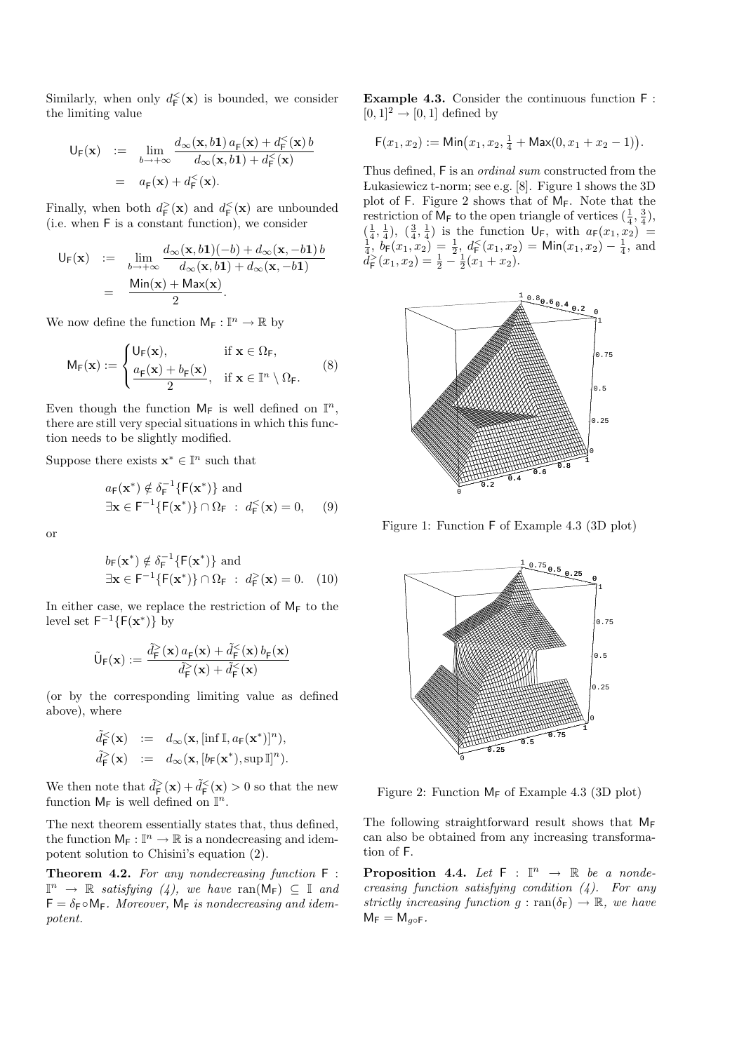Similarly, when only  $d_{\mathsf{F}}^{\leq}(\mathbf{x})$  is bounded, we consider the limiting value

$$
\begin{array}{rcl}\n\mathsf{U}_{\mathsf{F}}(\mathbf{x}) & := & \lim_{b \to +\infty} \frac{d_{\infty}(\mathbf{x}, b\mathbf{1}) \, a_{\mathsf{F}}(\mathbf{x}) + d_{\mathsf{F}}^{\leq}(\mathbf{x}) \, b}{d_{\infty}(\mathbf{x}, b\mathbf{1}) + d_{\mathsf{F}}^{\leq}(\mathbf{x})} \\
& = & a_{\mathsf{F}}(\mathbf{x}) + d_{\mathsf{F}}^{\leq}(\mathbf{x}).\n\end{array}
$$

Finally, when both  $d_{\mathsf{F}}^>(\mathbf{x})$  and  $d_{\mathsf{F}}^<(\mathbf{x})$  are unbounded (i.e. when F is a constant function), we consider

$$
U_{F}(\mathbf{x}) := \lim_{b \to +\infty} \frac{d_{\infty}(\mathbf{x}, b\mathbf{1})(-b) + d_{\infty}(\mathbf{x}, -b\mathbf{1})b}{d_{\infty}(\mathbf{x}, b\mathbf{1}) + d_{\infty}(\mathbf{x}, -b\mathbf{1})}
$$
  
= 
$$
\frac{\text{Min}(\mathbf{x}) + \text{Max}(\mathbf{x})}{2}.
$$

We now define the function  $M_F: \mathbb{I}^n \to \mathbb{R}$  by

$$
M_F(\mathbf{x}) := \begin{cases} U_F(\mathbf{x}), & \text{if } \mathbf{x} \in \Omega_F, \\ \frac{a_F(\mathbf{x}) + b_F(\mathbf{x})}{2}, & \text{if } \mathbf{x} \in \mathbb{I}^n \setminus \Omega_F. \end{cases}
$$
 (8)

Even though the function  $M_F$  is well defined on  $\mathbb{I}^n$ , there are still very special situations in which this function needs to be slightly modified.

Suppose there exists  $\mathbf{x}^* \in \mathbb{I}^n$  such that

$$
a_{\mathsf{F}}(\mathbf{x}^*) \notin \delta_{\mathsf{F}}^{-1}\{\mathsf{F}(\mathbf{x}^*)\} \text{ and}
$$
  

$$
\exists \mathbf{x} \in \mathsf{F}^{-1}\{\mathsf{F}(\mathbf{x}^*)\} \cap \Omega_{\mathsf{F}} : d_{\mathsf{F}}^{\leq}(\mathbf{x}) = 0,
$$
 (9)

or

$$
b_{\mathsf{F}}(\mathbf{x}^*) \notin \delta_{\mathsf{F}}^{-1}\{\mathsf{F}(\mathbf{x}^*)\} \text{ and}
$$
  

$$
\exists \mathbf{x} \in \mathsf{F}^{-1}\{\mathsf{F}(\mathbf{x}^*)\} \cap \Omega_{\mathsf{F}} : d_{\mathsf{F}}^>(\mathbf{x}) = 0. \quad (10)
$$

In either case, we replace the restriction of  $M_F$  to the level set  $\mathsf{F}^{-1}\{\mathsf{F}(\mathbf{x}^*)\}$  by

$$
\tilde{\mathsf{U}}_{\mathsf{F}}(\mathbf{x}):=\frac{\tilde{d}_{\mathsf{F}}^>(\mathbf{x})\,a_{\mathsf{F}}(\mathbf{x})+\tilde{d}_{\mathsf{F}}^<( \mathbf{x})\,b_{\mathsf{F}}(\mathbf{x})}{\tilde{d}_{\mathsf{F}}^>(\mathbf{x})+\tilde{d}_{\mathsf{F}}^<( \mathbf{x})}
$$

(or by the corresponding limiting value as defined above), where

$$
\begin{array}{rcl} \tilde{d}_{\mathsf{F}}^{\leq}(\mathbf{x}) & := & d_{\infty}(\mathbf{x}, [\inf \mathbb{I}, a_{\mathsf{F}}(\mathbf{x}^*)]^n), \\ \tilde{d}_{\mathsf{F}}^{\geq}(\mathbf{x}) & := & d_{\infty}(\mathbf{x}, [b_{\mathsf{F}}(\mathbf{x}^*), \sup \mathbb{I}]^n). \end{array}
$$

We then note that  $\tilde{d}_{\mathsf{F}}^>(\mathbf{x}) + \tilde{d}_{\mathsf{F}}^( $\mathbf{x}$ ) > 0 so that the new$ function  $M_F$  is well defined on  $\mathbb{I}^n$ .

The next theorem essentially states that, thus defined, the function  $M_F: \mathbb{I}^n \to \mathbb{R}$  is a nondecreasing and idempotent solution to Chisini's equation (2).

Theorem 4.2. For any nondecreasing function F :  $\mathbb{I}^n \to \mathbb{R}$  satisfying (4), we have ran( $\mathsf{M}_{\mathsf{F}}$ )  $\subseteq \mathbb{I}$  and  $F = \delta_F \circ M_F$ . Moreover,  $M_F$  is nondecreasing and idempotent.

Example 4.3. Consider the continuous function F :  $[0, 1]^2 \rightarrow [0, 1]$  defined by

$$
F(x_1, x_2) := \mathsf{Min}(x_1, x_2, \tfrac{1}{4} + \mathsf{Max}(0, x_1 + x_2 - 1)).
$$

Thus defined, F is an ordinal sum constructed from the Lukasiewicz t-norm; see e.g.  $[8]$ . Figure 1 shows the 3D plot of F. Figure 2 shows that of MF. Note that the restriction of  $M_F$  to the open triangle of vertices  $(\frac{1}{4}, \frac{3}{4})$ ,  $(\frac{1}{4}, \frac{1}{4}), (\frac{3}{4}, \frac{1}{4})$  is the function  $\mathsf{U}_{\mathsf{F}}$ , with  $a_{\mathsf{F}}(x_1, x_2) =$ <br>  $\frac{1}{4}$ ,  $b_{\mathsf{F}}(x_1, x_2) = \frac{1}{2}$ ,  $d_{\mathsf{F}}(x_1, x_2) = \mathsf{Min}(x_1, x_2) - \frac{1}{4}$ , and  $d_{\mathsf{F}}^>(x_1, x_2) = \frac{1}{2} - \frac{1}{2}(x_1 + x_2).$ 



Figure 1: Function F of Example 4.3 (3D plot)



Figure 2: Function  $M_F$  of Example 4.3 (3D plot)

The following straightforward result shows that  $M_F$ can also be obtained from any increasing transformation of F.

**Proposition 4.4.** Let  $F : \mathbb{I}^n \to \mathbb{R}$  be a nondecreasing function satisfying condition  $(4)$ . For any strictly increasing function  $g : \text{ran}(\delta_F) \to \mathbb{R}$ , we have  $M_F = M_{q \circ F}$ .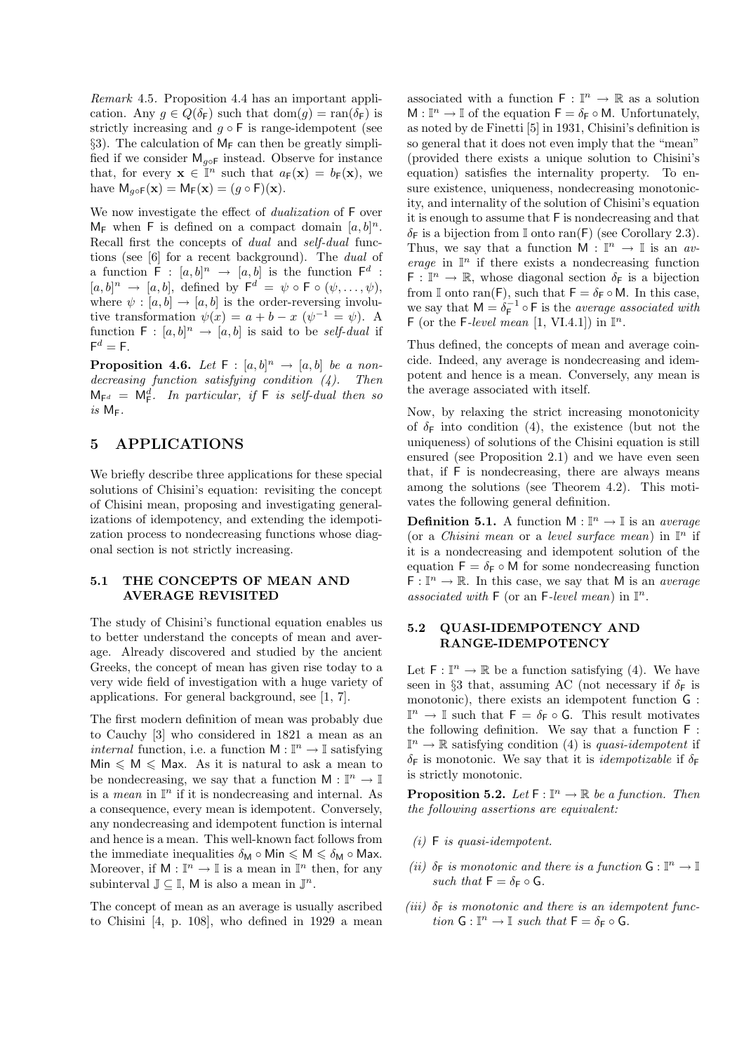Remark 4.5. Proposition 4.4 has an important application. Any  $g \in Q(\delta_F)$  such that  $dom(g) = ran(\delta_F)$  is strictly increasing and  $g \circ F$  is range-idempotent (see §3). The calculation of  $M_F$  can then be greatly simplified if we consider  $M_{q \circ F}$  instead. Observe for instance that, for every  $\mathbf{x} \in \mathbb{I}^n$  such that  $a_F(\mathbf{x}) = b_F(\mathbf{x})$ , we have  $M_{q \circ F}(\mathbf{x}) = M_F(\mathbf{x}) = (q \circ F)(\mathbf{x}).$ 

We now investigate the effect of *dualization* of  $F$  over  $M_F$  when F is defined on a compact domain  $[a, b]^n$ . Recall first the concepts of dual and self-dual functions (see [6] for a recent background). The dual of a function  $\mathsf{F} : [a, b]^n \to [a, b]$  is the function  $\mathsf{F}^d$ :  $[a, b]^n \rightarrow [a, b]$ , defined by  $\mathsf{F}^d = \psi \circ \mathsf{F} \circ (\psi, \dots, \psi)$ , where  $\psi : [a, b] \rightarrow [a, b]$  is the order-reversing involutive transformation  $\psi(x) = a + b - x$  ( $\psi^{-1} = \psi$ ). A function  $F : [a, b]^n \rightarrow [a, b]$  is said to be *self-dual* if  $\mathsf{F}^d=\mathsf{F}.$ 

**Proposition 4.6.** Let  $F : [a, b]^n \rightarrow [a, b]$  be a nondecreasing function satisfying condition  $(4)$ . Then  $M_{\mathsf{F}^d} = \mathsf{M}_{\mathsf{F}}^d$ . In particular, if  $\mathsf{F}$  is self-dual then so is  $M_F$ .

### 5 APPLICATIONS

We briefly describe three applications for these special solutions of Chisini's equation: revisiting the concept of Chisini mean, proposing and investigating generalizations of idempotency, and extending the idempotization process to nondecreasing functions whose diagonal section is not strictly increasing.

### 5.1 THE CONCEPTS OF MEAN AND AVERAGE REVISITED

The study of Chisini's functional equation enables us to better understand the concepts of mean and average. Already discovered and studied by the ancient Greeks, the concept of mean has given rise today to a very wide field of investigation with a huge variety of applications. For general background, see [1, 7].

The first modern definition of mean was probably due to Cauchy [3] who considered in 1821 a mean as an *internal* function, i.e. a function  $M : \mathbb{I}^n \to \mathbb{I}$  satisfying  $Min \leq M \leq Max$ . As it is natural to ask a mean to be nondecreasing, we say that a function  $M : \mathbb{I}^n \to \mathbb{I}$ is a *mean* in  $\mathbb{I}^n$  if it is nondecreasing and internal. As a consequence, every mean is idempotent. Conversely, any nondecreasing and idempotent function is internal and hence is a mean. This well-known fact follows from the immediate inequalities  $\delta_M \circ \text{Min} \leqslant M \leqslant \delta_M \circ \text{Max}$ . Moreover, if  $M : \mathbb{I}^n \to \mathbb{I}$  is a mean in  $\mathbb{I}^n$  then, for any subinterval  $\mathbb{J} \subseteq \mathbb{I}$ , M is also a mean in  $\mathbb{J}^n$ .

The concept of mean as an average is usually ascribed to Chisini [4, p. 108], who defined in 1929 a mean

associated with a function  $\mathsf{F} : \mathbb{I}^n \to \mathbb{R}$  as a solution  $M: \mathbb{I}^n \to \mathbb{I}$  of the equation  $\mathsf{F} = \delta_{\mathsf{F}} \circ \mathsf{M}$ . Unfortunately, as noted by de Finetti [5] in 1931, Chisini's definition is so general that it does not even imply that the "mean" (provided there exists a unique solution to Chisini's equation) satisfies the internality property. To ensure existence, uniqueness, nondecreasing monotonicity, and internality of the solution of Chisini's equation it is enough to assume that F is nondecreasing and that  $\delta_F$  is a bijection from I onto ran(F) (see Corollary 2.3). Thus, we say that a function  $M : \mathbb{I}^n \to \mathbb{I}$  is an average in  $\mathbb{I}^n$  if there exists a nondecreasing function  $\mathsf{F} : \mathbb{I}^n \to \mathbb{R}$ , whose diagonal section  $\delta_{\mathsf{F}}$  is a bijection from I onto ran(F), such that  $F = \delta_F \circ M$ . In this case, we say that  $M = \delta_F^{-1} \circ F$  is the *average associated with* F (or the F-level mean [1, VI.4.1]) in  $\mathbb{I}^n$ .

Thus defined, the concepts of mean and average coincide. Indeed, any average is nondecreasing and idempotent and hence is a mean. Conversely, any mean is the average associated with itself.

Now, by relaxing the strict increasing monotonicity of  $\delta_F$  into condition (4), the existence (but not the uniqueness) of solutions of the Chisini equation is still ensured (see Proposition 2.1) and we have even seen that, if F is nondecreasing, there are always means among the solutions (see Theorem 4.2). This motivates the following general definition.

**Definition 5.1.** A function  $M : \mathbb{I}^n \to \mathbb{I}$  is an *average* (or a *Chisini mean* or a *level surface mean*) in  $\mathbb{I}^n$  if it is a nondecreasing and idempotent solution of the equation  $F = \delta_F \circ M$  for some nondecreasing function  $F: \mathbb{I}^n \to \mathbb{R}$ . In this case, we say that M is an *average* associated with  $\mathsf{F}$  (or an F-level mean) in  $\mathbb{I}^n$ .

### 5.2 QUASI-IDEMPOTENCY AND RANGE-IDEMPOTENCY

Let  $\mathsf{F} : \mathbb{I}^n \to \mathbb{R}$  be a function satisfying (4). We have seen in §3 that, assuming AC (not necessary if  $\delta_F$  is monotonic), there exists an idempotent function G :  $\mathbb{I}^n \to \mathbb{I}$  such that  $\mathsf{F} = \delta_{\mathsf{F}} \circ \mathsf{G}$ . This result motivates the following definition. We say that a function F :  $\mathbb{I}^n \to \mathbb{R}$  satisfying condition (4) is quasi-idempotent if  $\delta_F$  is monotonic. We say that it is *idempotizable* if  $\delta_F$ is strictly monotonic.

**Proposition 5.2.** Let  $F : \mathbb{I}^n \to \mathbb{R}$  be a function. Then the following assertions are equivalent:

- $(i)$  F is quasi-idempotent.
- (ii)  $\delta_F$  is monotonic and there is a function  $G: \mathbb{I}^n \to \mathbb{I}$ such that  $F = \delta_F \circ G$ .
- (iii)  $\delta_F$  is monotonic and there is an idempotent func- $\label{eq:lin} \emph{tion $\mathsf{G} : \mathbb{I}^n \rightarrow \mathbb{I}$ such that $\mathsf{F} = \delta_\mathsf{F} \circ \mathsf{G}$.}$